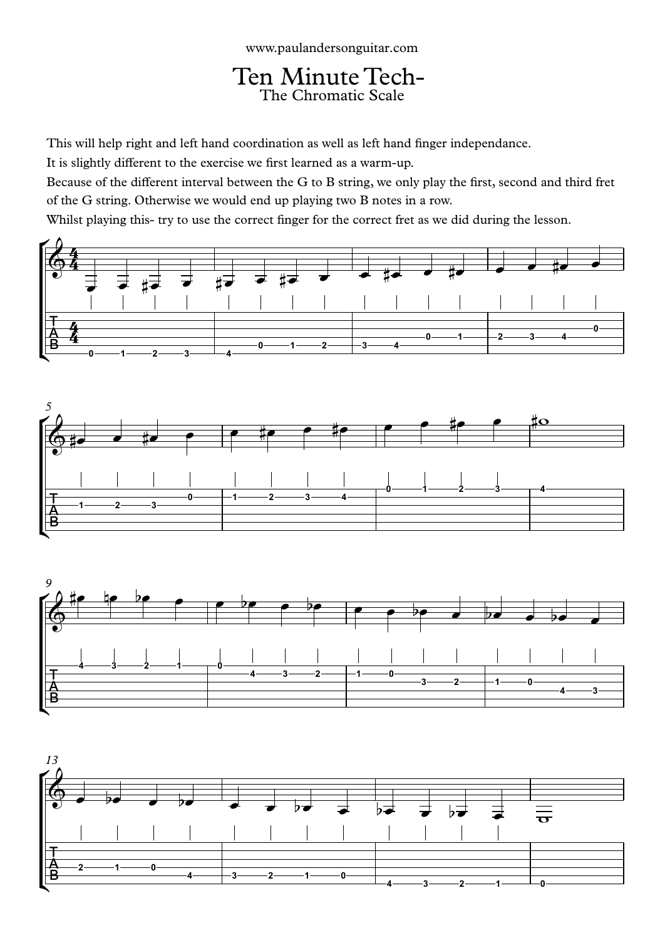Ten Minute Tech-<br>The Chromatic Scale

This will help right and left hand coordination as well as left hand finger independance.

It is slightly different to the exercise we first learned as a warm-up.

Because of the different interval between the G to B string, we only play the first, second and third fret of the G string. Otherwise we would end up playing two B notes in a row.

Whilst playing this- try to use the correct finger for the correct fret as we did during the lesson.